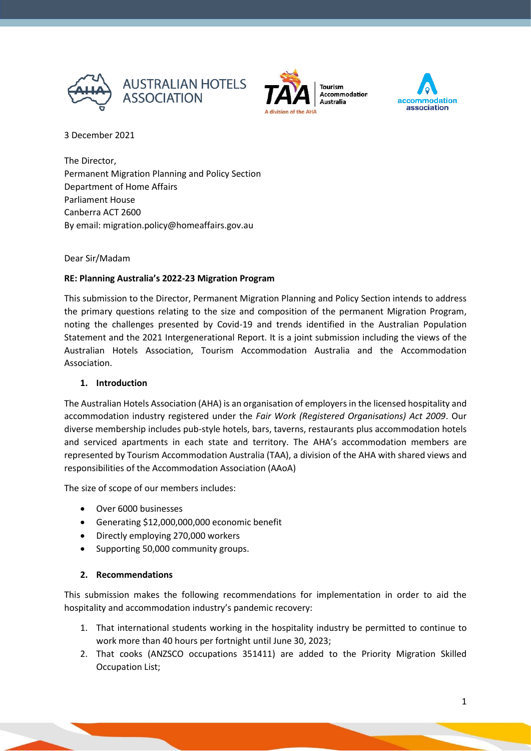



**Accommodation Australia** 



3 December 2021

The Director, Permanent Migration Planning and Policy Section Department of Home Affairs Parliament House Canberra ACT 2600 By email: migration.policy@homeaffairs.gov.au

### Dear Sir/Madam

### **RE: Planning Australia's 2022-23 Migration Program**

This submission to the Director, Permanent Migration Planning and Policy Section intends to address the primary questions relating to the size and composition of the permanent Migration Program, noting the challenges presented by Covid-19 and trends identified in the Australian Population Statement and the 2021 Intergenerational Report. It is a joint submission including the views of the Australian Hotels Association, Tourism Accommodation Australia and the Accommodation Association.

### **1. Introduction**

The Australian Hotels Association (AHA) is an organisation of employers in the licensed hospitality and accommodation industry registered under the *Fair Work (Registered Organisations) Act 2009*. Our diverse membership includes pub-style hotels, bars, taverns, restaurants plus accommodation hotels and serviced apartments in each state and territory. The AHA's accommodation members are represented by Tourism Accommodation Australia (TAA), a division of the AHA with shared views and responsibilities of the Accommodation Association (AAoA)

The size of scope of our members includes:

- Over 6000 businesses
- Generating \$12,000,000,000 economic benefit
- Directly employing 270,000 workers
- Supporting 50,000 community groups.

### **2. Recommendations**

This submission makes the following recommendations for implementation in order to aid the hospitality and accommodation industry's pandemic recovery:

- 1. That international students working in the hospitality industry be permitted to continue to work more than 40 hours per fortnight until June 30, 2023;
- 2. That cooks (ANZSCO occupations 351411) are added to the Priority Migration Skilled Occupation List;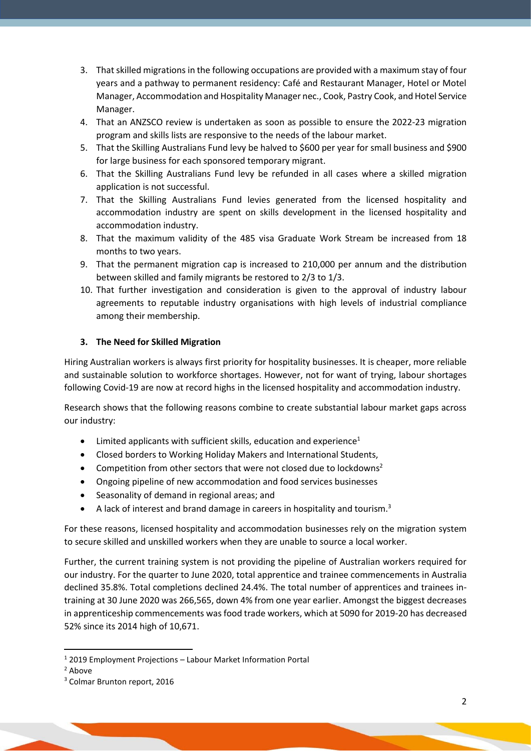- 3. That skilled migrations in the following occupations are provided with a maximum stay of four years and a pathway to permanent residency: Café and Restaurant Manager, Hotel or Motel Manager, Accommodation and Hospitality Manager nec., Cook, Pastry Cook, and Hotel Service Manager.
- 4. That an ANZSCO review is undertaken as soon as possible to ensure the 2022-23 migration program and skills lists are responsive to the needs of the labour market.
- 5. That the Skilling Australians Fund levy be halved to \$600 per year for small business and \$900 for large business for each sponsored temporary migrant.
- 6. That the Skilling Australians Fund levy be refunded in all cases where a skilled migration application is not successful.
- 7. That the Skilling Australians Fund levies generated from the licensed hospitality and accommodation industry are spent on skills development in the licensed hospitality and accommodation industry.
- 8. That the maximum validity of the 485 visa Graduate Work Stream be increased from 18 months to two years.
- 9. That the permanent migration cap is increased to 210,000 per annum and the distribution between skilled and family migrants be restored to 2/3 to 1/3.
- 10. That further investigation and consideration is given to the approval of industry labour agreements to reputable industry organisations with high levels of industrial compliance among their membership.

## **3. The Need for Skilled Migration**

Hiring Australian workers is always first priority for hospitality businesses. It is cheaper, more reliable and sustainable solution to workforce shortages. However, not for want of trying, labour shortages following Covid-19 are now at record highs in the licensed hospitality and accommodation industry.

Research shows that the following reasons combine to create substantial labour market gaps across our industry:

- $\bullet$  Limited applicants with sufficient skills, education and experience<sup>1</sup>
- Closed borders to Working Holiday Makers and International Students,
- Competition from other sectors that were not closed due to lockdowns<sup>2</sup>
- Ongoing pipeline of new accommodation and food services businesses
- Seasonality of demand in regional areas; and
- A lack of interest and brand damage in careers in hospitality and tourism.<sup>3</sup>

For these reasons, licensed hospitality and accommodation businesses rely on the migration system to secure skilled and unskilled workers when they are unable to source a local worker.

Further, the current training system is not providing the pipeline of Australian workers required for our industry. For the quarter to June 2020, total apprentice and trainee commencements in Australia declined 35.8%. Total completions declined 24.4%. The total number of apprentices and trainees intraining at 30 June 2020 was 266,565, down 4% from one year earlier. Amongst the biggest decreases in apprenticeship commencements was food trade workers, which at 5090 for 2019-20 has decreased 52% since its 2014 high of 10,671.

<sup>1</sup> 2019 Employment Projections – Labour Market Information Portal

<sup>2</sup> Above

<sup>3</sup> Colmar Brunton report, 2016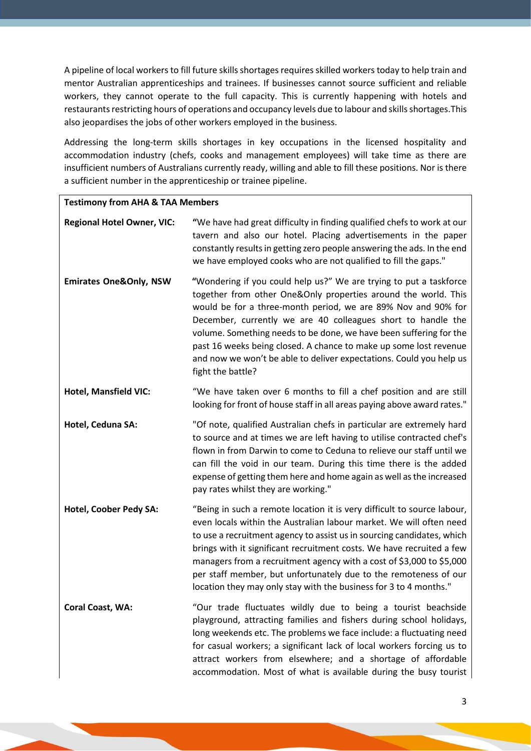A pipeline of local workers to fill future skills shortages requires skilled workers today to help train and mentor Australian apprenticeships and trainees. If businesses cannot source sufficient and reliable workers, they cannot operate to the full capacity. This is currently happening with hotels and restaurants restricting hours of operations and occupancy levels due to labour and skills shortages.This also jeopardises the jobs of other workers employed in the business.

Addressing the long-term skills shortages in key occupations in the licensed hospitality and accommodation industry (chefs, cooks and management employees) will take time as there are insufficient numbers of Australians currently ready, willing and able to fill these positions. Nor is there a sufficient number in the apprenticeship or trainee pipeline.

| <b>Testimony from AHA &amp; TAA Members</b> |                                                                                                                                                                                                                                                                                                                                                                                                                                                                                                                    |  |
|---------------------------------------------|--------------------------------------------------------------------------------------------------------------------------------------------------------------------------------------------------------------------------------------------------------------------------------------------------------------------------------------------------------------------------------------------------------------------------------------------------------------------------------------------------------------------|--|
| <b>Regional Hotel Owner, VIC:</b>           | "We have had great difficulty in finding qualified chefs to work at our<br>tavern and also our hotel. Placing advertisements in the paper<br>constantly results in getting zero people answering the ads. In the end<br>we have employed cooks who are not qualified to fill the gaps."                                                                                                                                                                                                                            |  |
| <b>Emirates One&amp;Only, NSW</b>           | "Wondering if you could help us?" We are trying to put a taskforce<br>together from other One&Only properties around the world. This<br>would be for a three-month period, we are 89% Nov and 90% for<br>December, currently we are 40 colleagues short to handle the<br>volume. Something needs to be done, we have been suffering for the<br>past 16 weeks being closed. A chance to make up some lost revenue<br>and now we won't be able to deliver expectations. Could you help us<br>fight the battle?       |  |
| <b>Hotel, Mansfield VIC:</b>                | "We have taken over 6 months to fill a chef position and are still<br>looking for front of house staff in all areas paying above award rates."                                                                                                                                                                                                                                                                                                                                                                     |  |
| Hotel, Ceduna SA:                           | "Of note, qualified Australian chefs in particular are extremely hard<br>to source and at times we are left having to utilise contracted chef's<br>flown in from Darwin to come to Ceduna to relieve our staff until we<br>can fill the void in our team. During this time there is the added<br>expense of getting them here and home again as well as the increased<br>pay rates whilst they are working."                                                                                                       |  |
| Hotel, Coober Pedy SA:                      | "Being in such a remote location it is very difficult to source labour,<br>even locals within the Australian labour market. We will often need<br>to use a recruitment agency to assist us in sourcing candidates, which<br>brings with it significant recruitment costs. We have recruited a few<br>managers from a recruitment agency with a cost of \$3,000 to \$5,000<br>per staff member, but unfortunately due to the remoteness of our<br>location they may only stay with the business for 3 to 4 months." |  |
| <b>Coral Coast, WA:</b>                     | "Our trade fluctuates wildly due to being a tourist beachside<br>playground, attracting families and fishers during school holidays,<br>long weekends etc. The problems we face include: a fluctuating need<br>for casual workers; a significant lack of local workers forcing us to<br>attract workers from elsewhere; and a shortage of affordable<br>accommodation. Most of what is available during the busy tourist                                                                                           |  |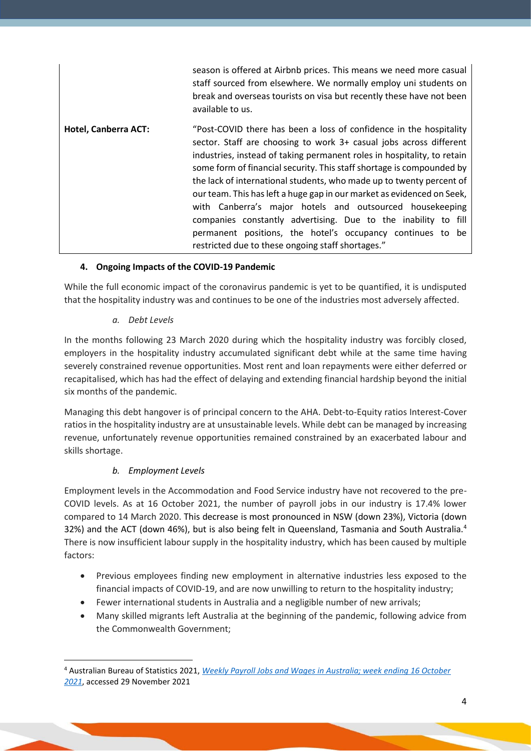|                             | season is offered at Airbnb prices. This means we need more casual<br>staff sourced from elsewhere. We normally employ uni students on<br>break and overseas tourists on visa but recently these have not been<br>available to us.                                                                                                                                                                                                                                                                                                                                                                                                                                                              |
|-----------------------------|-------------------------------------------------------------------------------------------------------------------------------------------------------------------------------------------------------------------------------------------------------------------------------------------------------------------------------------------------------------------------------------------------------------------------------------------------------------------------------------------------------------------------------------------------------------------------------------------------------------------------------------------------------------------------------------------------|
| <b>Hotel, Canberra ACT:</b> | "Post-COVID there has been a loss of confidence in the hospitality<br>sector. Staff are choosing to work 3+ casual jobs across different<br>industries, instead of taking permanent roles in hospitality, to retain<br>some form of financial security. This staff shortage is compounded by<br>the lack of international students, who made up to twenty percent of<br>our team. This has left a huge gap in our market as evidenced on Seek,<br>with Canberra's major hotels and outsourced housekeeping<br>companies constantly advertising. Due to the inability to fill<br>permanent positions, the hotel's occupancy continues to be<br>restricted due to these ongoing staff shortages." |

### **4. Ongoing Impacts of the COVID-19 Pandemic**

While the full economic impact of the coronavirus pandemic is yet to be quantified, it is undisputed that the hospitality industry was and continues to be one of the industries most adversely affected.

### *a. Debt Levels*

In the months following 23 March 2020 during which the hospitality industry was forcibly closed, employers in the hospitality industry accumulated significant debt while at the same time having severely constrained revenue opportunities. Most rent and loan repayments were either deferred or recapitalised, which has had the effect of delaying and extending financial hardship beyond the initial six months of the pandemic.

Managing this debt hangover is of principal concern to the AHA. Debt-to-Equity ratios Interest-Cover ratios in the hospitality industry are at unsustainable levels. While debt can be managed by increasing revenue, unfortunately revenue opportunities remained constrained by an exacerbated labour and skills shortage.

## *b. Employment Levels*

Employment levels in the Accommodation and Food Service industry have not recovered to the pre-COVID levels. As at 16 October 2021, the number of payroll jobs in our industry is 17.4% lower compared to 14 March 2020. This decrease is most pronounced in NSW (down 23%), Victoria (down 32%) and the ACT (down 46%), but is also being felt in Queensland, Tasmania and South Australia.<sup>4</sup> There is now insufficient labour supply in the hospitality industry, which has been caused by multiple factors:

- Previous employees finding new employment in alternative industries less exposed to the financial impacts of COVID-19, and are now unwilling to return to the hospitality industry;
- Fewer international students in Australia and a negligible number of new arrivals;
- Many skilled migrants left Australia at the beginning of the pandemic, following advice from the Commonwealth Government;

<sup>4</sup> Australian Bureau of Statistics 2021, *[Weekly Payroll Jobs and Wages in Australia; week ending 16 October](https://www.abs.gov.au/statistics/labour/earnings-and-work-hours/weekly-payroll-jobs-and-wages-australia/week-ending-16-october-2021)  [2021](https://www.abs.gov.au/statistics/labour/earnings-and-work-hours/weekly-payroll-jobs-and-wages-australia/week-ending-16-october-2021)*, accessed 29 November 2021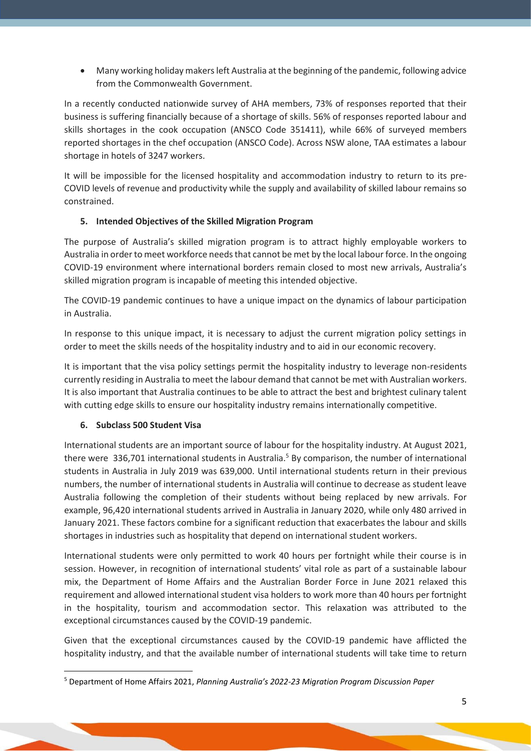• Many working holiday makers left Australia at the beginning of the pandemic, following advice from the Commonwealth Government.

In a recently conducted nationwide survey of AHA members, 73% of responses reported that their business is suffering financially because of a shortage of skills. 56% of responses reported labour and skills shortages in the cook occupation (ANSCO Code 351411), while 66% of surveyed members reported shortages in the chef occupation (ANSCO Code). Across NSW alone, TAA estimates a labour shortage in hotels of 3247 workers.

It will be impossible for the licensed hospitality and accommodation industry to return to its pre-COVID levels of revenue and productivity while the supply and availability of skilled labour remains so constrained.

## **5. Intended Objectives of the Skilled Migration Program**

The purpose of Australia's skilled migration program is to attract highly employable workers to Australia in order to meet workforce needs that cannot be met by the local labour force. In the ongoing COVID-19 environment where international borders remain closed to most new arrivals, Australia's skilled migration program is incapable of meeting this intended objective.

The COVID-19 pandemic continues to have a unique impact on the dynamics of labour participation in Australia.

In response to this unique impact, it is necessary to adjust the current migration policy settings in order to meet the skills needs of the hospitality industry and to aid in our economic recovery.

It is important that the visa policy settings permit the hospitality industry to leverage non-residents currently residing in Australia to meet the labour demand that cannot be met with Australian workers. It is also important that Australia continues to be able to attract the best and brightest culinary talent with cutting edge skills to ensure our hospitality industry remains internationally competitive.

### **6. Subclass 500 Student Visa**

International students are an important source of labour for the hospitality industry. At August 2021, there were 336,701 international students in Australia.<sup>5</sup> By comparison, the number of international students in Australia in July 2019 was 639,000. Until international students return in their previous numbers, the number of international students in Australia will continue to decrease as student leave Australia following the completion of their students without being replaced by new arrivals. For example, 96,420 international students arrived in Australia in January 2020, while only 480 arrived in January 2021. These factors combine for a significant reduction that exacerbates the labour and skills shortages in industries such as hospitality that depend on international student workers.

International students were only permitted to work 40 hours per fortnight while their course is in session. However, in recognition of international students' vital role as part of a sustainable labour mix, the Department of Home Affairs and the Australian Border Force in June 2021 relaxed this requirement and allowed international student visa holders to work more than 40 hours per fortnight in the hospitality, tourism and accommodation sector. This relaxation was attributed to the exceptional circumstances caused by the COVID-19 pandemic.

Given that the exceptional circumstances caused by the COVID-19 pandemic have afflicted the hospitality industry, and that the available number of international students will take time to return

<sup>5</sup> Department of Home Affairs 2021, *Planning Australia's 2022-23 Migration Program Discussion Paper*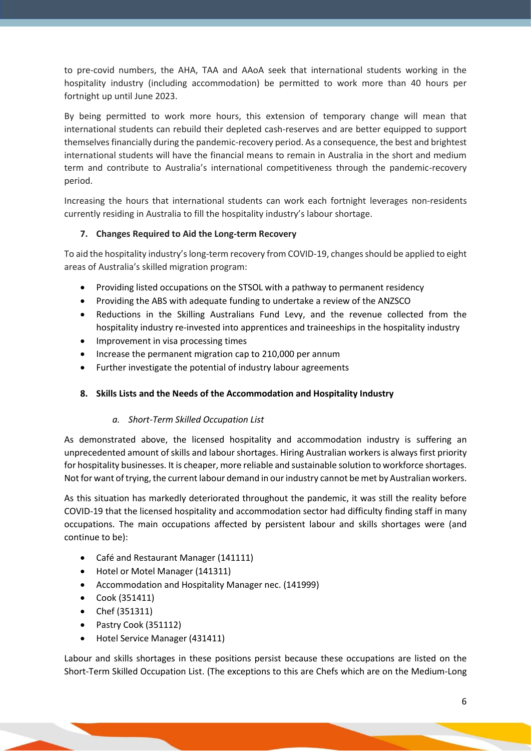to pre-covid numbers, the AHA, TAA and AAoA seek that international students working in the hospitality industry (including accommodation) be permitted to work more than 40 hours per fortnight up until June 2023.

By being permitted to work more hours, this extension of temporary change will mean that international students can rebuild their depleted cash-reserves and are better equipped to support themselves financially during the pandemic-recovery period. As a consequence, the best and brightest international students will have the financial means to remain in Australia in the short and medium term and contribute to Australia's international competitiveness through the pandemic-recovery period.

Increasing the hours that international students can work each fortnight leverages non-residents currently residing in Australia to fill the hospitality industry's labour shortage.

## **7. Changes Required to Aid the Long-term Recovery**

To aid the hospitality industry's long-term recovery from COVID-19, changes should be applied to eight areas of Australia's skilled migration program:

- Providing listed occupations on the STSOL with a pathway to permanent residency
- Providing the ABS with adequate funding to undertake a review of the ANZSCO
- Reductions in the Skilling Australians Fund Levy, and the revenue collected from the hospitality industry re-invested into apprentices and traineeships in the hospitality industry
- Improvement in visa processing times
- Increase the permanent migration cap to 210,000 per annum
- Further investigate the potential of industry labour agreements

## **8. Skills Lists and the Needs of the Accommodation and Hospitality Industry**

## *a. Short-Term Skilled Occupation List*

As demonstrated above, the licensed hospitality and accommodation industry is suffering an unprecedented amount of skills and labour shortages. Hiring Australian workers is always first priority for hospitality businesses. It is cheaper, more reliable and sustainable solution to workforce shortages. Not for want of trying, the current labour demand in our industry cannot be met by Australian workers.

As this situation has markedly deteriorated throughout the pandemic, it was still the reality before COVID-19 that the licensed hospitality and accommodation sector had difficulty finding staff in many occupations. The main occupations affected by persistent labour and skills shortages were (and continue to be):

- Café and Restaurant Manager (141111)
- Hotel or Motel Manager (141311)
- Accommodation and Hospitality Manager nec. (141999)
- Cook (351411)
- Chef (351311)
- Pastry Cook (351112)
- Hotel Service Manager (431411)

Labour and skills shortages in these positions persist because these occupations are listed on the Short-Term Skilled Occupation List. (The exceptions to this are Chefs which are on the Medium-Long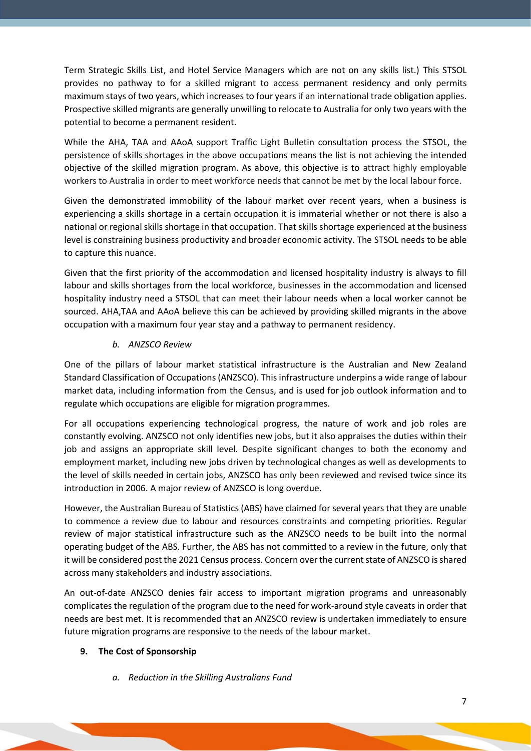Term Strategic Skills List, and Hotel Service Managers which are not on any skills list.) This STSOL provides no pathway to for a skilled migrant to access permanent residency and only permits maximum stays of two years, which increases to four years if an international trade obligation applies. Prospective skilled migrants are generally unwilling to relocate to Australia for only two years with the potential to become a permanent resident.

While the AHA, TAA and AAoA support Traffic Light Bulletin consultation process the STSOL, the persistence of skills shortages in the above occupations means the list is not achieving the intended objective of the skilled migration program. As above, this objective is to attract highly employable workers to Australia in order to meet workforce needs that cannot be met by the local labour force.

Given the demonstrated immobility of the labour market over recent years, when a business is experiencing a skills shortage in a certain occupation it is immaterial whether or not there is also a national or regional skills shortage in that occupation. That skills shortage experienced at the business level is constraining business productivity and broader economic activity. The STSOL needs to be able to capture this nuance.

Given that the first priority of the accommodation and licensed hospitality industry is always to fill labour and skills shortages from the local workforce, businesses in the accommodation and licensed hospitality industry need a STSOL that can meet their labour needs when a local worker cannot be sourced. AHA,TAA and AAoA believe this can be achieved by providing skilled migrants in the above occupation with a maximum four year stay and a pathway to permanent residency.

### *b. ANZSCO Review*

One of the pillars of labour market statistical infrastructure is the Australian and New Zealand Standard Classification of Occupations (ANZSCO). This infrastructure underpins a wide range of labour market data, including information from the Census, and is used for job outlook information and to regulate which occupations are eligible for migration programmes.

For all occupations experiencing technological progress, the nature of work and job roles are constantly evolving. ANZSCO not only identifies new jobs, but it also appraises the duties within their job and assigns an appropriate skill level. Despite significant changes to both the economy and employment market, including new jobs driven by technological changes as well as developments to the level of skills needed in certain jobs, ANZSCO has only been reviewed and revised twice since its introduction in 2006. A major review of ANZSCO is long overdue.

However, the Australian Bureau of Statistics (ABS) have claimed for several years that they are unable to commence a review due to labour and resources constraints and competing priorities. Regular review of major statistical infrastructure such as the ANZSCO needs to be built into the normal operating budget of the ABS. Further, the ABS has not committed to a review in the future, only that it will be considered post the 2021 Census process. Concern over the current state of ANZSCO is shared across many stakeholders and industry associations.

An out-of-date ANZSCO denies fair access to important migration programs and unreasonably complicates the regulation of the program due to the need for work-around style caveats in order that needs are best met. It is recommended that an ANZSCO review is undertaken immediately to ensure future migration programs are responsive to the needs of the labour market.

## **9. The Cost of Sponsorship**

*a. Reduction in the Skilling Australians Fund*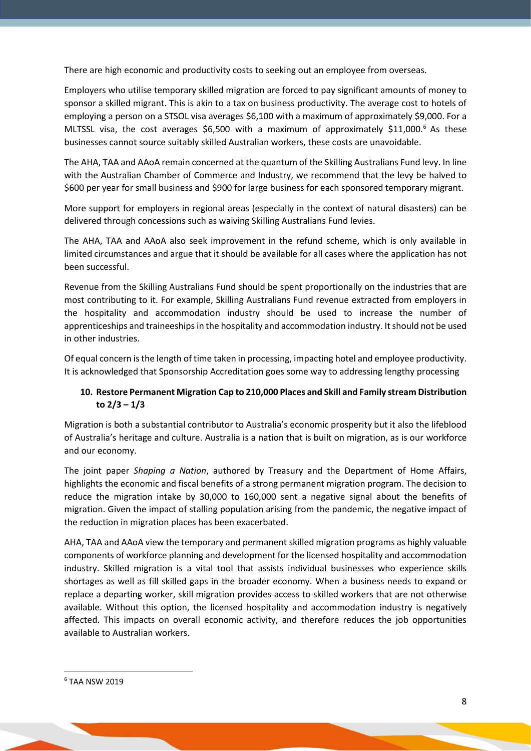There are high economic and productivity costs to seeking out an employee from overseas.

Employers who utilise temporary skilled migration are forced to pay significant amounts of money to sponsor a skilled migrant. This is akin to a tax on business productivity. The average cost to hotels of employing a person on a STSOL visa averages \$6,100 with a maximum of approximately \$9,000. For a MLTSSL visa, the cost averages \$6,500 with a maximum of approximately \$11,000.<sup>6</sup> As these businesses cannot source suitably skilled Australian workers, these costs are unavoidable.

The AHA, TAA and AAoA remain concerned at the quantum of the Skilling Australians Fund levy. In line with the Australian Chamber of Commerce and Industry, we recommend that the levy be halved to \$600 per year for small business and \$900 for large business for each sponsored temporary migrant.

More support for employers in regional areas (especially in the context of natural disasters) can be delivered through concessions such as waiving Skilling Australians Fund levies.

The AHA, TAA and AAoA also seek improvement in the refund scheme, which is only available in limited circumstances and argue that it should be available for all cases where the application has not been successful.

Revenue from the Skilling Australians Fund should be spent proportionally on the industries that are most contributing to it. For example, Skilling Australians Fund revenue extracted from employers in the hospitality and accommodation industry should be used to increase the number of apprenticeships and traineeships in the hospitality and accommodation industry. It should not be used in other industries.

Of equal concern is the length of time taken in processing, impacting hotel and employee productivity. It is acknowledged that Sponsorship Accreditation goes some way to addressing lengthy processing

# **10. Restore Permanent Migration Cap to 210,000 Places and Skill and Family stream Distribution to 2/3 – 1/3**

Migration is both a substantial contributor to Australia's economic prosperity but it also the lifeblood of Australia's heritage and culture. Australia is a nation that is built on migration, as is our workforce and our economy.

The joint paper *Shaping a Nation*, authored by Treasury and the Department of Home Affairs, highlights the economic and fiscal benefits of a strong permanent migration program. The decision to reduce the migration intake by 30,000 to 160,000 sent a negative signal about the benefits of migration. Given the impact of stalling population arising from the pandemic, the negative impact of the reduction in migration places has been exacerbated.

AHA, TAA and AAoA view the temporary and permanent skilled migration programs as highly valuable components of workforce planning and development for the licensed hospitality and accommodation industry. Skilled migration is a vital tool that assists individual businesses who experience skills shortages as well as fill skilled gaps in the broader economy. When a business needs to expand or replace a departing worker, skill migration provides access to skilled workers that are not otherwise available. Without this option, the licensed hospitality and accommodation industry is negatively affected. This impacts on overall economic activity, and therefore reduces the job opportunities available to Australian workers.

<sup>6</sup> TAA NSW 2019